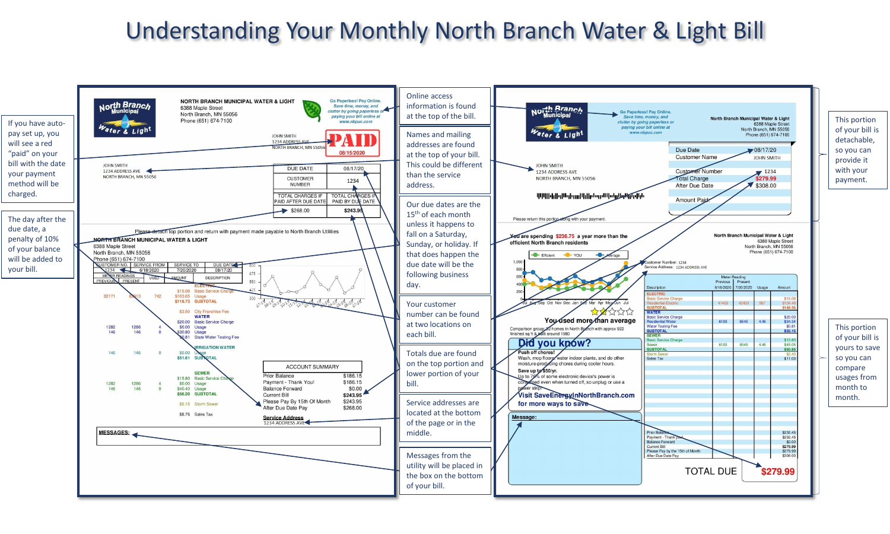## Understanding Your Monthly North Branch Water & Light Bill